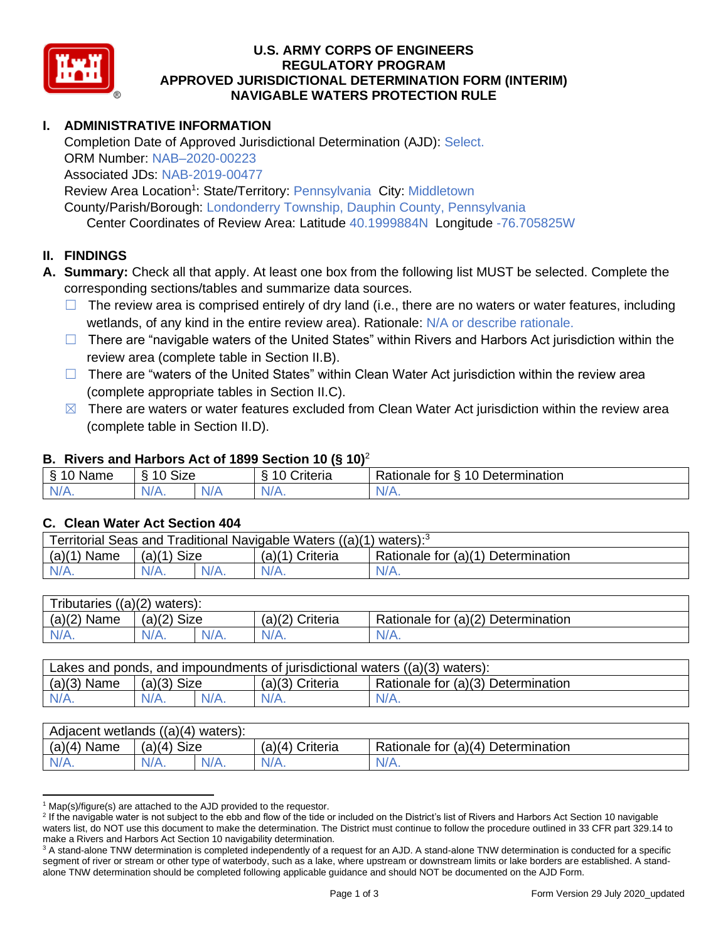

### **U.S. ARMY CORPS OF ENGINEERS REGULATORY PROGRAM APPROVED JURISDICTIONAL DETERMINATION FORM (INTERIM) NAVIGABLE WATERS PROTECTION RULE**

# **I. ADMINISTRATIVE INFORMATION**

Completion Date of Approved Jurisdictional Determination (AJD): Select. ORM Number: NAB–2020-00223 Associated JDs: NAB-2019-00477 Review Area Location<sup>1</sup>: State/Territory: Pennsylvania City: Middletown

County/Parish/Borough: Londonderry Township, Dauphin County, Pennsylvania

Center Coordinates of Review Area: Latitude 40.1999884N Longitude -76.705825W

## **II. FINDINGS**

- **A. Summary:** Check all that apply. At least one box from the following list MUST be selected. Complete the corresponding sections/tables and summarize data sources.
	- $\Box$  The review area is comprised entirely of dry land (i.e., there are no waters or water features, including wetlands, of any kind in the entire review area). Rationale: N/A or describe rationale.
	- □ There are "navigable waters of the United States" within Rivers and Harbors Act jurisdiction within the review area (complete table in Section II.B).
	- $\Box$  There are "waters of the United States" within Clean Water Act jurisdiction within the review area (complete appropriate tables in Section II.C).
	- $\boxtimes$  There are waters or water features excluded from Clean Water Act jurisdiction within the review area (complete table in Section II.D).

#### **B. Rivers and Harbors Act of 1899 Section 10 (§ 10)**<sup>2</sup>

| Name                          | $\sim$<br>$\sqrt{2}$<br>Size<br>∼ |  | - -<br>Criteria | 10<br>Determination<br>Rationale for<br>↷ |
|-------------------------------|-----------------------------------|--|-----------------|-------------------------------------------|
| $\sim$<br>$-1$ $\sqrt{1 + 1}$ | N/A.                              |  | $N/A$ .         | <b>MILLER</b>                             |

### **C. Clean Water Act Section 404**

| Territorial Seas and Traditional Navigable Waters $((a)(1)$ waters): <sup>3</sup> |               |  |                   |                                    |  |
|-----------------------------------------------------------------------------------|---------------|--|-------------------|------------------------------------|--|
| $(a)(1)$ Name                                                                     | $(a)(1)$ Size |  | $(a)(1)$ Criteria | Rationale for (a)(1) Determination |  |
| $N/A$ .                                                                           | $N/A$ .       |  | $N/A$ .           | $N/A$ .                            |  |

| Tributaries $((a)(2)$ waters): |                |         |                 |                                    |  |  |
|--------------------------------|----------------|---------|-----------------|------------------------------------|--|--|
| $(a)(2)$ Name                  | Size<br>(a)(2) |         | (a)(2) Criteria | Rationale for (a)(2) Determination |  |  |
| $N/A$ .                        | $N/A$ .        | $N/A$ . | $N/A$ .         | $N/A$ .                            |  |  |

| Lakes and ponds, and impoundments of jurisdictional waters $((a)(3)$ waters): |               |  |                   |                                    |  |
|-------------------------------------------------------------------------------|---------------|--|-------------------|------------------------------------|--|
| $(a)(3)$ Name                                                                 | $(a)(3)$ Size |  | $(a)(3)$ Criteria | Rationale for (a)(3) Determination |  |
| $N/A$ .                                                                       | $N/A$ .       |  | $N/A$ .           | $N/A$ .                            |  |

| Adjacent wetlands ((a)(4) waters): |                       |         |                 |                                    |  |  |
|------------------------------------|-----------------------|---------|-----------------|------------------------------------|--|--|
| $(a)(4)$ Name                      | <b>Size</b><br>(a)(4) |         | (a)(4) Criteria | Rationale for (a)(4) Determination |  |  |
| $N/A$ .                            | N/A.                  | $N/A$ . | $N/A$ .         | $N/A$ .                            |  |  |

 $1$  Map(s)/figure(s) are attached to the AJD provided to the requestor.

<sup>&</sup>lt;sup>2</sup> If the navigable water is not subject to the ebb and flow of the tide or included on the District's list of Rivers and Harbors Act Section 10 navigable waters list, do NOT use this document to make the determination. The District must continue to follow the procedure outlined in 33 CFR part 329.14 to make a Rivers and Harbors Act Section 10 navigability determination.

<sup>&</sup>lt;sup>3</sup> A stand-alone TNW determination is completed independently of a request for an AJD. A stand-alone TNW determination is conducted for a specific segment of river or stream or other type of waterbody, such as a lake, where upstream or downstream limits or lake borders are established. A standalone TNW determination should be completed following applicable guidance and should NOT be documented on the AJD Form.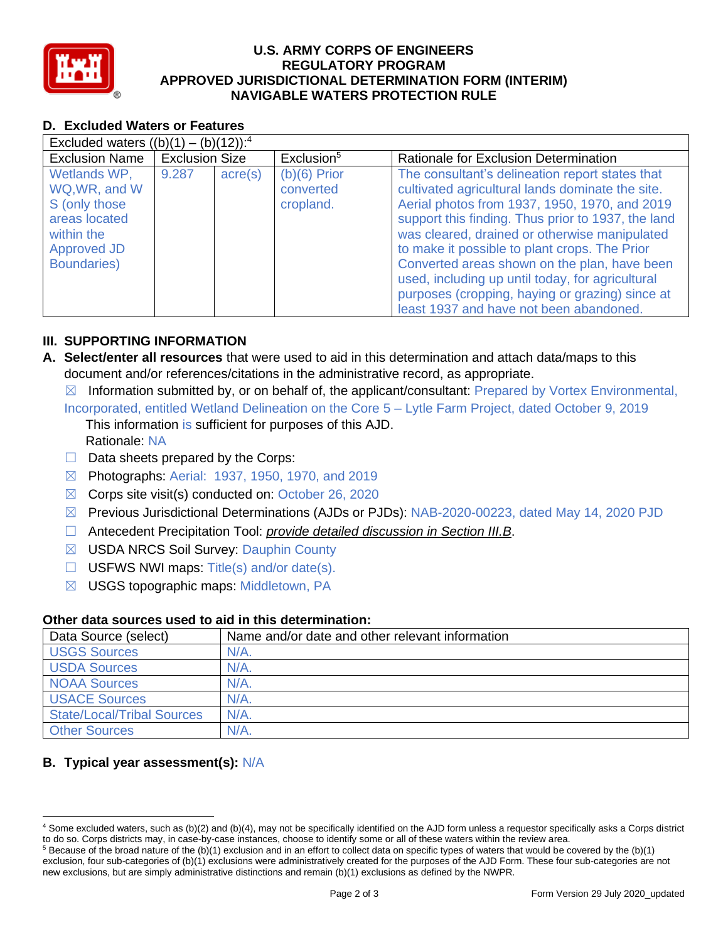

### **U.S. ARMY CORPS OF ENGINEERS REGULATORY PROGRAM APPROVED JURISDICTIONAL DETERMINATION FORM (INTERIM) NAVIGABLE WATERS PROTECTION RULE**

# **D. Excluded Waters or Features**

| Excluded waters $((b)(1) - (b)(12))$ : <sup>4</sup>                                                                        |                       |                  |                                          |                                                                                                                                                                                                                                                                                                                                                                                                                                                                                                                |  |
|----------------------------------------------------------------------------------------------------------------------------|-----------------------|------------------|------------------------------------------|----------------------------------------------------------------------------------------------------------------------------------------------------------------------------------------------------------------------------------------------------------------------------------------------------------------------------------------------------------------------------------------------------------------------------------------------------------------------------------------------------------------|--|
| <b>Exclusion Name</b>                                                                                                      | <b>Exclusion Size</b> |                  | Exclusion <sup>5</sup>                   | Rationale for Exclusion Determination                                                                                                                                                                                                                                                                                                                                                                                                                                                                          |  |
| Wetlands WP,<br>WQ, WR, and W<br>S (only those<br>areas located<br>within the<br><b>Approved JD</b><br><b>Boundaries</b> ) | 9.287                 | $\text{acre}(s)$ | $(b)(6)$ Prior<br>converted<br>cropland. | The consultant's delineation report states that<br>cultivated agricultural lands dominate the site.<br>Aerial photos from 1937, 1950, 1970, and 2019<br>support this finding. Thus prior to 1937, the land<br>was cleared, drained or otherwise manipulated<br>to make it possible to plant crops. The Prior<br>Converted areas shown on the plan, have been<br>used, including up until today, for agricultural<br>purposes (cropping, haying or grazing) since at<br>least 1937 and have not been abandoned. |  |

## **III. SUPPORTING INFORMATION**

- **A. Select/enter all resources** that were used to aid in this determination and attach data/maps to this document and/or references/citations in the administrative record, as appropriate.
	- $\boxtimes$  Information submitted by, or on behalf of, the applicant/consultant: Prepared by Vortex Environmental,
	- Incorporated, entitled Wetland Delineation on the Core 5 Lytle Farm Project, dated October 9, 2019 This information is sufficient for purposes of this AJD. Rationale: NA
	- $\Box$  Data sheets prepared by the Corps:
	- ☒ Photographs: Aerial: 1937, 1950, 1970, and 2019
	- $\boxtimes$  Corps site visit(s) conducted on: October 26, 2020
	- ☒ Previous Jurisdictional Determinations (AJDs or PJDs): NAB-2020-00223, dated May 14, 2020 PJD
	- ☐ Antecedent Precipitation Tool: *provide detailed discussion in Section III.B*.
	- ☒ USDA NRCS Soil Survey: Dauphin County
	- $\Box$  USFWS NWI maps: Title(s) and/or date(s).
	- ☒ USGS topographic maps: Middletown, PA

#### **Other data sources used to aid in this determination:**

| Data Source (select)              | Name and/or date and other relevant information |
|-----------------------------------|-------------------------------------------------|
| <b>USGS Sources</b>               | N/A                                             |
| <b>USDA Sources</b>               | $N/A$ .                                         |
| <b>NOAA Sources</b>               | $N/A$ .                                         |
| <b>USACE Sources</b>              | $N/A$ .                                         |
| <b>State/Local/Tribal Sources</b> | $N/A$ .                                         |
| <b>Other Sources</b>              | N/A                                             |

# **B. Typical year assessment(s):** N/A

<sup>4</sup> Some excluded waters, such as (b)(2) and (b)(4), may not be specifically identified on the AJD form unless a requestor specifically asks a Corps district to do so. Corps districts may, in case-by-case instances, choose to identify some or all of these waters within the review area.

 $5$  Because of the broad nature of the (b)(1) exclusion and in an effort to collect data on specific types of waters that would be covered by the (b)(1) exclusion, four sub-categories of (b)(1) exclusions were administratively created for the purposes of the AJD Form. These four sub-categories are not new exclusions, but are simply administrative distinctions and remain (b)(1) exclusions as defined by the NWPR.